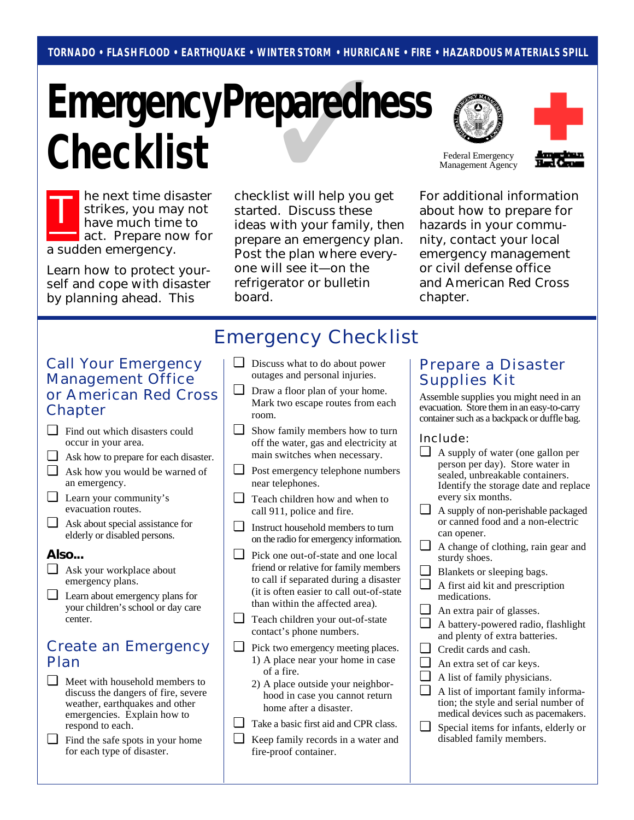# reparedness **Emergencyl** Checklist Federal Emergency

he next time disaster strikes, you may not have much time to act. Prepare now for a sudden emergency. T

Learn how to protect yourself and cope with disaster by planning ahead. This

checklist will help you get started. Discuss these ideas with your family, then prepare an emergency plan. Post the plan where everyone will see it—on the refrigerator or bulletin board.





Management Agency



For additional information about how to prepare for hazards in your community, contact your local emergency management or civil defense office and American Red Cross chapter.

### Emergency Checklist

### Call Your Emergency Management Office or American Red Cross Chapter

- ❏ Find out which disasters could occur in your area.
- ❏ Ask how to prepare for each disaster.
- ❏ Ask how you would be warned of an emergency.
- ❏ Learn your community's evacuation routes.
- ❏ Ask about special assistance for elderly or disabled persons.

**Also...**

- ❏ Ask your workplace about emergency plans.
- ❏ Learn about emergency plans for your children's school or day care center.

### Create an Emergency Plan

- ❏ Meet with household members to discuss the dangers of fire, severe weather, earthquakes and other emergencies. Explain how to respond to each.
- ❏ Find the safe spots in your home for each type of disaster.
- ❏ Discuss what to do about power outages and personal injuries.
- ❏ Draw a floor plan of your home. Mark two escape routes from each room.
- ❏ Show family members how to turn off the water, gas and electricity at main switches when necessary.
- ❏ Post emergency telephone numbers near telephones.
- ❏ Teach children how and when to call 911, police and fire.
- ❏ Instruct household members to turn on the radio for emergency information.
- ❏ Pick one out-of-state and one local friend or relative for family members to call if separated during a disaster (it is often easier to call out-of-state than within the affected area).
- ❏ Teach children your out-of-state contact's phone numbers.
- ❏ Pick two emergency meeting places. 1) A place near your home in case of a fire.
	- 2) A place outside your neighborhood in case you cannot return home after a disaster.
- ❏ Take a basic first aid and CPR class.
- ❏ Keep family records in a water and fire-proof container.

### Prepare a Disaster Supplies Kit

Assemble supplies you might need in an evacuation. Store them in an easy-to-carry container such as a backpack or duffle bag.

#### Include:

- ❏ A supply of water (one gallon per person per day). Store water in sealed, unbreakable containers. Identify the storage date and replace every six months.
- ❏ A supply of non-perishable packaged or canned food and a non-electric can opener.
- ❏ A change of clothing, rain gear and sturdy shoes.
- ❏ Blankets or sleeping bags.
- ❏ A first aid kit and prescription medications.
- ❏ An extra pair of glasses.
- ❏ A battery-powered radio, flashlight and plenty of extra batteries.
- ❏ Credit cards and cash.
- ❏ An extra set of car keys.
- ❏ A list of family physicians.
- ❏ A list of important family information; the style and serial number of medical devices such as pacemakers.
- ❏ Special items for infants, elderly or disabled family members.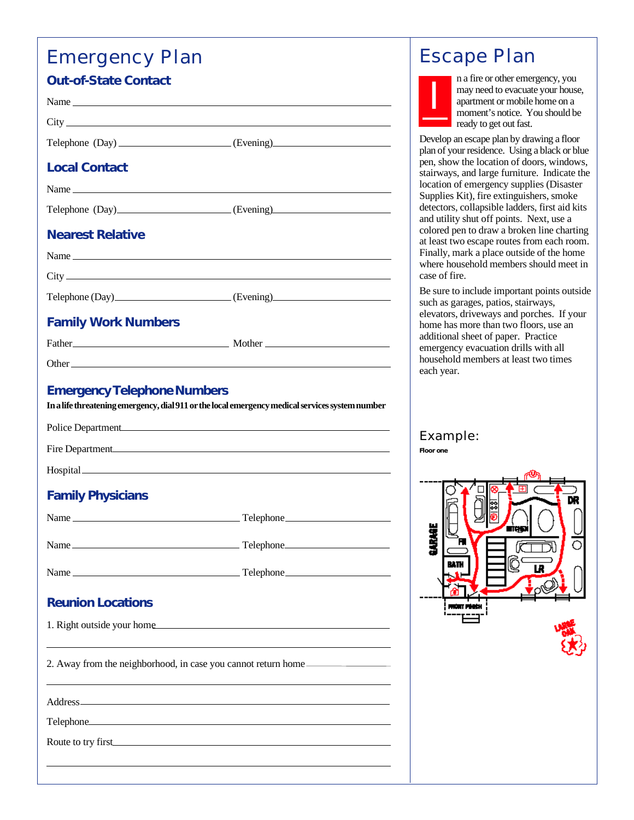## Emergency Plan

| Out-of-State Contact               |                                                                                                 |
|------------------------------------|-------------------------------------------------------------------------------------------------|
|                                    |                                                                                                 |
|                                    |                                                                                                 |
|                                    | Telephone (Day) __________________________(Evening)_____________________________                |
| <b>Local Contact</b>               |                                                                                                 |
|                                    |                                                                                                 |
|                                    | Telephone (Day)_________________________(Evening)_______________________________                |
| <b>Nearest Relative</b>            |                                                                                                 |
|                                    |                                                                                                 |
|                                    |                                                                                                 |
|                                    |                                                                                                 |
| <b>Family Work Numbers</b>         |                                                                                                 |
|                                    |                                                                                                 |
|                                    |                                                                                                 |
| <b>Emergency Telephone Numbers</b> | In a life threatening emergency, dial 911 or the local emergency medical services system number |
|                                    | Police Department                                                                               |
|                                    | Fire Department                                                                                 |
|                                    |                                                                                                 |
| <b>Family Physicians</b>           |                                                                                                 |
|                                    |                                                                                                 |
|                                    |                                                                                                 |
|                                    |                                                                                                 |
| <b>Reunion Locations</b>           |                                                                                                 |
| 1. Right outside your home         |                                                                                                 |
|                                    | 2. Away from the neighborhood, in case you cannot return home                                   |
|                                    |                                                                                                 |
|                                    |                                                                                                 |
|                                    |                                                                                                 |
|                                    |                                                                                                 |

### Escape Plan

n a fire or other emergency, you may need to evacuate your house, apartment or mobile home on a moment's notice. You should be ready to get out fast.

Develop an escape plan by drawing a floor plan of your residence. Using a black or blue pen, show the location of doors, windows, stairways, and large furniture. Indicate the location of emergency supplies (Disaster Supplies Kit), fire extinguishers, smoke detectors, collapsible ladders, first aid kits and utility shut off points. Next, use a colored pen to draw a broken line charting at least two escape routes from each room. Finally, mark a place outside of the home where household members should meet in case of fire.

Be sure to include important points outside such as garages, patios, stairways, elevators, driveways and porches. If your home has more than two floors, use an additional sheet of paper. Practice emergency evacuation drills with all household members at least two times each year.

### Example:

**Floor one**

**MRANE** mie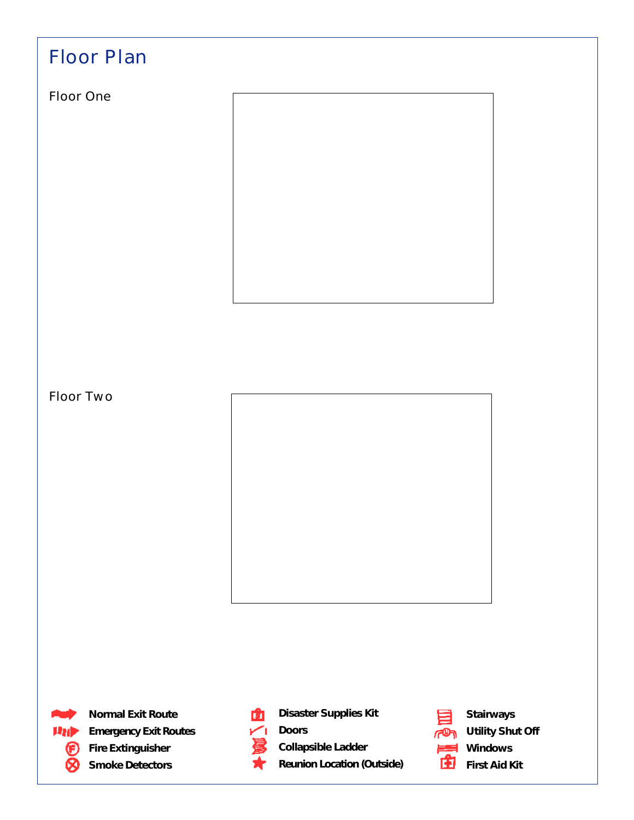